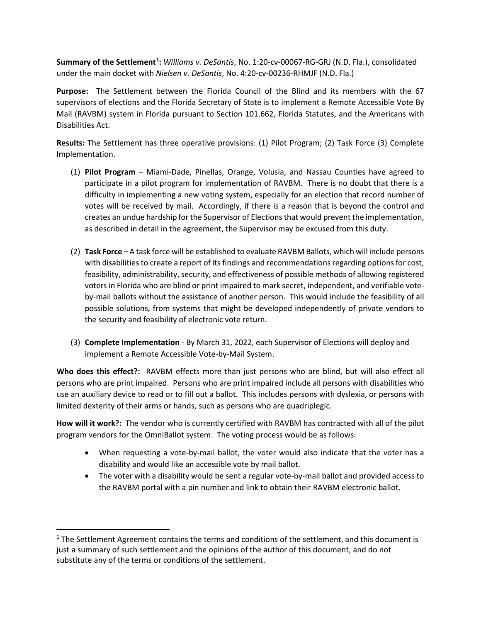**Summary of the Settlement[1](#page-0-0) :** *Williams v. DeSantis*, No. 1:20-cv-00067-RG-GRJ (N.D. Fla.), consolidated under the main docket with *Nielsen v. DeSantis*, No. 4:20-cv-00236-RHMJF (N.D. Fla.)

**Purpose:** The Settlement between the Florida Council of the Blind and its members with the 67 supervisors of elections and the Florida Secretary of State is to implement a Remote Accessible Vote By Mail (RAVBM) system in Florida pursuant to Section 101.662, Florida Statutes, and the Americans with Disabilities Act.

**Results:** The Settlement has three operative provisions: (1) Pilot Program; (2) Task Force (3) Complete Implementation.

- (1) **Pilot Program**  Miami-Dade, Pinellas, Orange, Volusia, and Nassau Counties have agreed to participate in a pilot program for implementation of RAVBM. There is no doubt that there is a difficulty in implementing a new voting system, especially for an election that record number of votes will be received by mail. Accordingly, if there is a reason that is beyond the control and creates an undue hardship for the Supervisor of Elections that would prevent the implementation, as described in detail in the agreement, the Supervisor may be excused from this duty.
- (2) **Task Force** A task force will be established to evaluate RAVBM Ballots, which will include persons with disabilities to create a report of its findings and recommendations regarding options for cost, feasibility, administrability, security, and effectiveness of possible methods of allowing registered voters in Florida who are blind or print impaired to mark secret, independent, and verifiable voteby-mail ballots without the assistance of another person. This would include the feasibility of all possible solutions, from systems that might be developed independently of private vendors to the security and feasibility of electronic vote return.
- (3) **Complete Implementation**  By March 31, 2022, each Supervisor of Elections will deploy and implement a Remote Accessible Vote-by-Mail System.

**Who does this effect?:** RAVBM effects more than just persons who are blind, but will also effect all persons who are print impaired. Persons who are print impaired include all persons with disabilities who use an auxiliary device to read or to fill out a ballot. This includes persons with dyslexia, or persons with limited dexterity of their arms or hands, such as persons who are quadriplegic.

**How will it work?:** The vendor who is currently certified with RAVBM has contracted with all of the pilot program vendors for the OmniBallot system. The voting process would be as follows:

- When requesting a vote-by-mail ballot, the voter would also indicate that the voter has a disability and would like an accessible vote by mail ballot.
- The voter with a disability would be sent a regular vote-by-mail ballot and provided access to the RAVBM portal with a pin number and link to obtain their RAVBM electronic ballot.

<span id="page-0-0"></span> $<sup>1</sup>$  The Settlement Agreement contains the terms and conditions of the settlement, and this document is</sup> just a summary of such settlement and the opinions of the author of this document, and do not substitute any of the terms or conditions of the settlement.